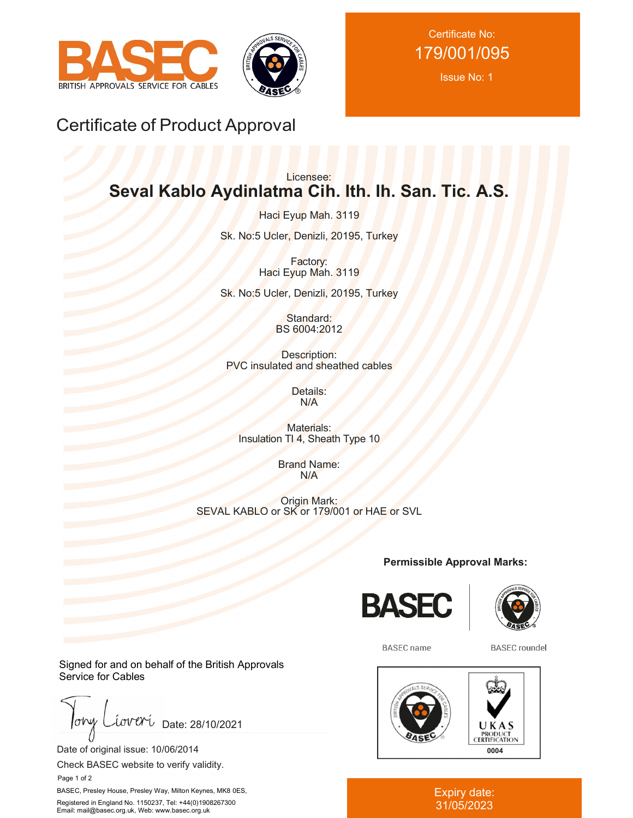



Certificate No: 179/001/095

Issue No: 1

## Certificate of Product Approval

## Licensee: **Seval Kablo Aydinlatma Cih. Ith. Ih. San. Tic. A.S.**

Haci Eyup Mah. 3119 Sk. No:5 Ucler, Denizli, 20195, Turkey

> Factory: Haci Eyup Mah. 3119

Sk. No:5 Ucler, Denizli, 20195, Turkey

Standard: BS 6004:2012

Description: PVC insulated and sheathed cables

> Details: N/A

Materials: Insulation TI 4, Sheath Type 10

> Brand Name: N/A

Origin Mark: SEVAL KABLO or SK or 179/001 or HAE or SVL

**Permissible Approval Marks:**





**BASEC** name

**BASEC** roundel



Expiry date: 31/05/2023

Signed for and on behalf of the British Approvals Service for Cables

 $low$ iova Date: 28/10/2021

Date of original issue: 10/06/2014

Check BASEC website to verify validity.

Page 1 of 2

BASEC, Presley House, Presley Way, Milton Keynes, MK8 0ES, Registered in England No. 1150237, Tel: +44(0)1908267300 Email: mail@basec.org.uk, Web: www.basec.org.uk